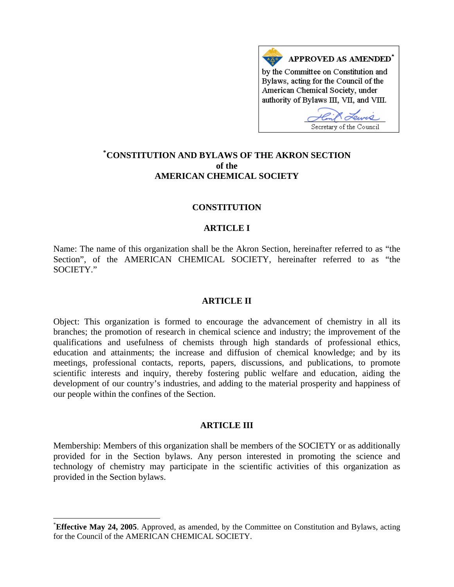

# **\* [CONSTITUTION AND BYLAWS OF THE AKRON SECTION](#page-0-0)  of the AMERICAN CHEMICAL SOCIETY**

## **CONSTITUTION**

## **ARTICLE I**

Name: The name of this organization shall be the Akron Section, hereinafter referred to as "the Section", of the AMERICAN CHEMICAL SOCIETY, hereinafter referred to as "the SOCIETY."

### **ARTICLE II**

Object: This organization is formed to encourage the advancement of chemistry in all its branches; the promotion of research in chemical science and industry; the improvement of the qualifications and usefulness of chemists through high standards of professional ethics, education and attainments; the increase and diffusion of chemical knowledge; and by its meetings, professional contacts, reports, papers, discussions, and publications, to promote scientific interests and inquiry, thereby fostering public welfare and education, aiding the development of our country's industries, and adding to the material prosperity and happiness of our people within the confines of the Section.

### **ARTICLE III**

Membership: Members of this organization shall be members of the SOCIETY or as additionally provided for in the Section bylaws. Any person interested in promoting the science and technology of chemistry may participate in the scientific activities of this organization as provided in the Section bylaws.

l

<span id="page-0-0"></span><sup>\*</sup> **Effective May 24, 2005**. Approved, as amended, by the Committee on Constitution and Bylaws, acting for the Council of the AMERICAN CHEMICAL SOCIETY.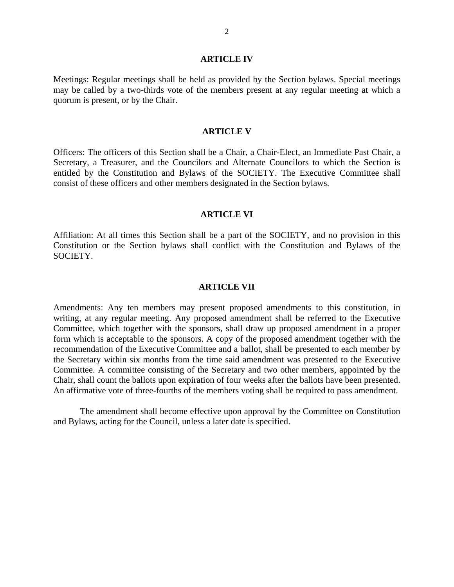#### **ARTICLE IV**

Meetings: Regular meetings shall be held as provided by the Section bylaws. Special meetings may be called by a two-thirds vote of the members present at any regular meeting at which a quorum is present, or by the Chair.

#### **ARTICLE V**

Officers: The officers of this Section shall be a Chair, a Chair-Elect, an Immediate Past Chair, a Secretary, a Treasurer, and the Councilors and Alternate Councilors to which the Section is entitled by the Constitution and Bylaws of the SOCIETY. The Executive Committee shall consist of these officers and other members designated in the Section bylaws.

#### **ARTICLE VI**

Affiliation: At all times this Section shall be a part of the SOCIETY, and no provision in this Constitution or the Section bylaws shall conflict with the Constitution and Bylaws of the SOCIETY.

#### **ARTICLE VII**

Amendments: Any ten members may present proposed amendments to this constitution, in writing, at any regular meeting. Any proposed amendment shall be referred to the Executive Committee, which together with the sponsors, shall draw up proposed amendment in a proper form which is acceptable to the sponsors. A copy of the proposed amendment together with the recommendation of the Executive Committee and a ballot, shall be presented to each member by the Secretary within six months from the time said amendment was presented to the Executive Committee. A committee consisting of the Secretary and two other members, appointed by the Chair, shall count the ballots upon expiration of four weeks after the ballots have been presented. An affirmative vote of three-fourths of the members voting shall be required to pass amendment.

The amendment shall become effective upon approval by the Committee on Constitution and Bylaws, acting for the Council, unless a later date is specified.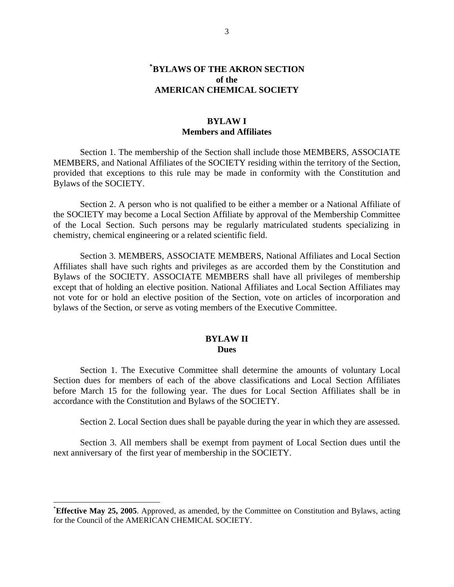# **[\\*](#page-2-0) BYLAWS OF THE AKRON SECTION of the AMERICAN CHEMICAL SOCIETY**

## **BYLAW I Members and Affiliates**

Section 1. The membership of the Section shall include those MEMBERS, ASSOCIATE MEMBERS, and National Affiliates of the SOCIETY residing within the territory of the Section, provided that exceptions to this rule may be made in conformity with the Constitution and Bylaws of the SOCIETY.

Section 2. A person who is not qualified to be either a member or a National Affiliate of the SOCIETY may become a Local Section Affiliate by approval of the Membership Committee of the Local Section. Such persons may be regularly matriculated students specializing in chemistry, chemical engineering or a related scientific field.

Section 3. MEMBERS, ASSOCIATE MEMBERS, National Affiliates and Local Section Affiliates shall have such rights and privileges as are accorded them by the Constitution and Bylaws of the SOCIETY. ASSOCIATE MEMBERS shall have all privileges of membership except that of holding an elective position. National Affiliates and Local Section Affiliates may not vote for or hold an elective position of the Section, vote on articles of incorporation and bylaws of the Section, or serve as voting members of the Executive Committee.

### **BYLAW II Dues**

Section 1. The Executive Committee shall determine the amounts of voluntary Local Section dues for members of each of the above classifications and Local Section Affiliates before March 15 for the following year. The dues for Local Section Affiliates shall be in accordance with the Constitution and Bylaws of the SOCIETY.

Section 2. Local Section dues shall be payable during the year in which they are assessed.

Section 3. All members shall be exempt from payment of Local Section dues until the next anniversary of the first year of membership in the SOCIETY.

l

<span id="page-2-0"></span><sup>\*</sup> **Effective May 25, 2005**. Approved, as amended, by the Committee on Constitution and Bylaws, acting for the Council of the AMERICAN CHEMICAL SOCIETY.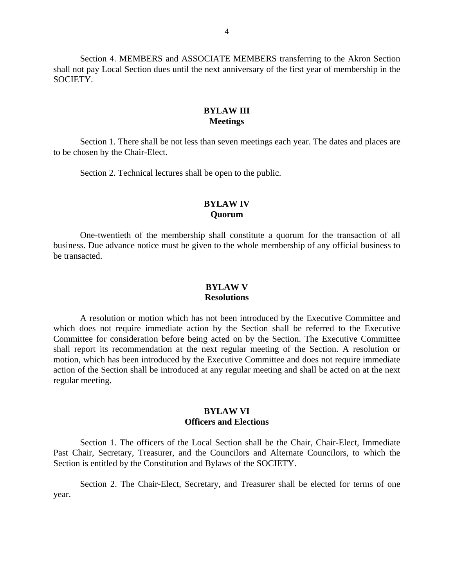Section 4. MEMBERS and ASSOCIATE MEMBERS transferring to the Akron Section shall not pay Local Section dues until the next anniversary of the first year of membership in the SOCIETY.

# **BYLAW III Meetings**

Section 1. There shall be not less than seven meetings each year. The dates and places are to be chosen by the Chair-Elect.

Section 2. Technical lectures shall be open to the public.

## **BYLAW IV Quorum**

One-twentieth of the membership shall constitute a quorum for the transaction of all business. Due advance notice must be given to the whole membership of any official business to be transacted.

## **BYLAW V Resolutions**

A resolution or motion which has not been introduced by the Executive Committee and which does not require immediate action by the Section shall be referred to the Executive Committee for consideration before being acted on by the Section. The Executive Committee shall report its recommendation at the next regular meeting of the Section. A resolution or motion, which has been introduced by the Executive Committee and does not require immediate action of the Section shall be introduced at any regular meeting and shall be acted on at the next regular meeting.

## **BYLAW VI Officers and Elections**

Section 1. The officers of the Local Section shall be the Chair, Chair-Elect, Immediate Past Chair, Secretary, Treasurer, and the Councilors and Alternate Councilors, to which the Section is entitled by the Constitution and Bylaws of the SOCIETY.

Section 2. The Chair-Elect, Secretary, and Treasurer shall be elected for terms of one year.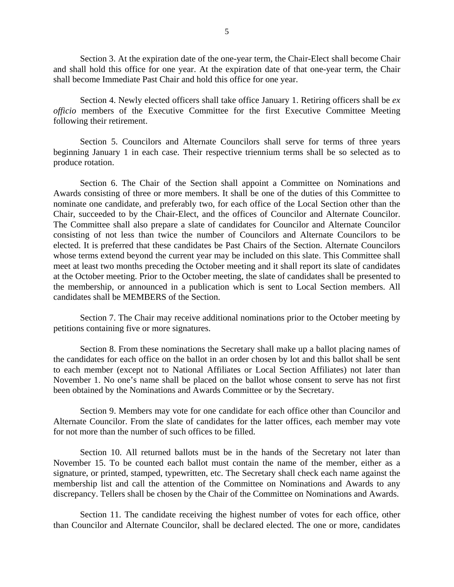Section 3. At the expiration date of the one-year term, the Chair-Elect shall become Chair and shall hold this office for one year. At the expiration date of that one-year term, the Chair shall become Immediate Past Chair and hold this office for one year.

 Section 4. Newly elected officers shall take office January 1. Retiring officers shall be *ex officio* members of the Executive Committee for the first Executive Committee Meeting following their retirement.

Section 5. Councilors and Alternate Councilors shall serve for terms of three years beginning January 1 in each case. Their respective triennium terms shall be so selected as to produce rotation.

Section 6. The Chair of the Section shall appoint a Committee on Nominations and Awards consisting of three or more members. It shall be one of the duties of this Committee to nominate one candidate, and preferably two, for each office of the Local Section other than the Chair, succeeded to by the Chair-Elect, and the offices of Councilor and Alternate Councilor. The Committee shall also prepare a slate of candidates for Councilor and Alternate Councilor consisting of not less than twice the number of Councilors and Alternate Councilors to be elected. It is preferred that these candidates be Past Chairs of the Section. Alternate Councilors whose terms extend beyond the current year may be included on this slate. This Committee shall meet at least two months preceding the October meeting and it shall report its slate of candidates at the October meeting. Prior to the October meeting, the slate of candidates shall be presented to the membership, or announced in a publication which is sent to Local Section members. All candidates shall be MEMBERS of the Section.

Section 7. The Chair may receive additional nominations prior to the October meeting by petitions containing five or more signatures.

Section 8. From these nominations the Secretary shall make up a ballot placing names of the candidates for each office on the ballot in an order chosen by lot and this ballot shall be sent to each member (except not to National Affiliates or Local Section Affiliates) not later than November 1. No one's name shall be placed on the ballot whose consent to serve has not first been obtained by the Nominations and Awards Committee or by the Secretary.

Section 9. Members may vote for one candidate for each office other than Councilor and Alternate Councilor. From the slate of candidates for the latter offices, each member may vote for not more than the number of such offices to be filled.

Section 10. All returned ballots must be in the hands of the Secretary not later than November 15. To be counted each ballot must contain the name of the member, either as a signature, or printed, stamped, typewritten, etc. The Secretary shall check each name against the membership list and call the attention of the Committee on Nominations and Awards to any discrepancy. Tellers shall be chosen by the Chair of the Committee on Nominations and Awards.

Section 11. The candidate receiving the highest number of votes for each office, other than Councilor and Alternate Councilor, shall be declared elected. The one or more, candidates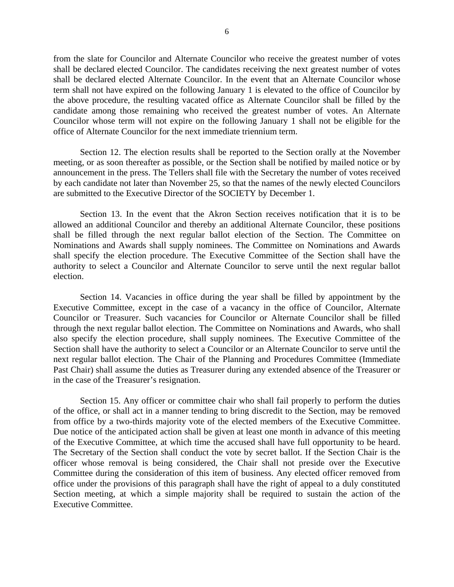from the slate for Councilor and Alternate Councilor who receive the greatest number of votes shall be declared elected Councilor. The candidates receiving the next greatest number of votes shall be declared elected Alternate Councilor. In the event that an Alternate Councilor whose term shall not have expired on the following January 1 is elevated to the office of Councilor by the above procedure, the resulting vacated office as Alternate Councilor shall be filled by the candidate among those remaining who received the greatest number of votes. An Alternate Councilor whose term will not expire on the following January 1 shall not be eligible for the office of Alternate Councilor for the next immediate triennium term.

Section 12. The election results shall be reported to the Section orally at the November meeting, or as soon thereafter as possible, or the Section shall be notified by mailed notice or by announcement in the press. The Tellers shall file with the Secretary the number of votes received by each candidate not later than November 25, so that the names of the newly elected Councilors are submitted to the Executive Director of the SOCIETY by December 1.

Section 13. In the event that the Akron Section receives notification that it is to be allowed an additional Councilor and thereby an additional Alternate Councilor, these positions shall be filled through the next regular ballot election of the Section. The Committee on Nominations and Awards shall supply nominees. The Committee on Nominations and Awards shall specify the election procedure. The Executive Committee of the Section shall have the authority to select a Councilor and Alternate Councilor to serve until the next regular ballot election.

Section 14. Vacancies in office during the year shall be filled by appointment by the Executive Committee, except in the case of a vacancy in the office of Councilor, Alternate Councilor or Treasurer. Such vacancies for Councilor or Alternate Councilor shall be filled through the next regular ballot election. The Committee on Nominations and Awards, who shall also specify the election procedure, shall supply nominees. The Executive Committee of the Section shall have the authority to select a Councilor or an Alternate Councilor to serve until the next regular ballot election. The Chair of the Planning and Procedures Committee (Immediate Past Chair) shall assume the duties as Treasurer during any extended absence of the Treasurer or in the case of the Treasurer's resignation.

Section 15. Any officer or committee chair who shall fail properly to perform the duties of the office, or shall act in a manner tending to bring discredit to the Section, may be removed from office by a two-thirds majority vote of the elected members of the Executive Committee. Due notice of the anticipated action shall be given at least one month in advance of this meeting of the Executive Committee, at which time the accused shall have full opportunity to be heard. The Secretary of the Section shall conduct the vote by secret ballot. If the Section Chair is the officer whose removal is being considered, the Chair shall not preside over the Executive Committee during the consideration of this item of business. Any elected officer removed from office under the provisions of this paragraph shall have the right of appeal to a duly constituted Section meeting, at which a simple majority shall be required to sustain the action of the Executive Committee.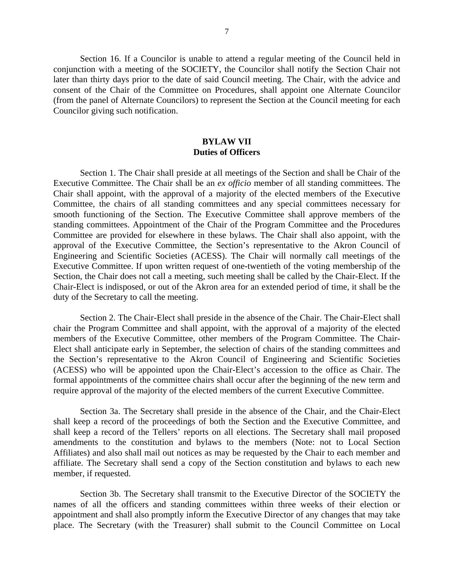Section 16. If a Councilor is unable to attend a regular meeting of the Council held in conjunction with a meeting of the SOCIETY, the Councilor shall notify the Section Chair not later than thirty days prior to the date of said Council meeting. The Chair, with the advice and consent of the Chair of the Committee on Procedures, shall appoint one Alternate Councilor (from the panel of Alternate Councilors) to represent the Section at the Council meeting for each Councilor giving such notification.

# **BYLAW VII Duties of Officers**

Section 1. The Chair shall preside at all meetings of the Section and shall be Chair of the Executive Committee. The Chair shall be an *ex officio* member of all standing committees. The Chair shall appoint, with the approval of a majority of the elected members of the Executive Committee, the chairs of all standing committees and any special committees necessary for smooth functioning of the Section. The Executive Committee shall approve members of the standing committees. Appointment of the Chair of the Program Committee and the Procedures Committee are provided for elsewhere in these bylaws. The Chair shall also appoint, with the approval of the Executive Committee, the Section's representative to the Akron Council of Engineering and Scientific Societies (ACESS). The Chair will normally call meetings of the Executive Committee. If upon written request of one-twentieth of the voting membership of the Section, the Chair does not call a meeting, such meeting shall be called by the Chair-Elect. If the Chair-Elect is indisposed, or out of the Akron area for an extended period of time, it shall be the duty of the Secretary to call the meeting.

Section 2. The Chair-Elect shall preside in the absence of the Chair. The Chair-Elect shall chair the Program Committee and shall appoint, with the approval of a majority of the elected members of the Executive Committee, other members of the Program Committee. The Chair-Elect shall anticipate early in September, the selection of chairs of the standing committees and the Section's representative to the Akron Council of Engineering and Scientific Societies (ACESS) who will be appointed upon the Chair-Elect's accession to the office as Chair. The formal appointments of the committee chairs shall occur after the beginning of the new term and require approval of the majority of the elected members of the current Executive Committee.

Section 3a. The Secretary shall preside in the absence of the Chair, and the Chair-Elect shall keep a record of the proceedings of both the Section and the Executive Committee, and shall keep a record of the Tellers' reports on all elections. The Secretary shall mail proposed amendments to the constitution and bylaws to the members (Note: not to Local Section Affiliates) and also shall mail out notices as may be requested by the Chair to each member and affiliate. The Secretary shall send a copy of the Section constitution and bylaws to each new member, if requested.

Section 3b. The Secretary shall transmit to the Executive Director of the SOCIETY the names of all the officers and standing committees within three weeks of their election or appointment and shall also promptly inform the Executive Director of any changes that may take place. The Secretary (with the Treasurer) shall submit to the Council Committee on Local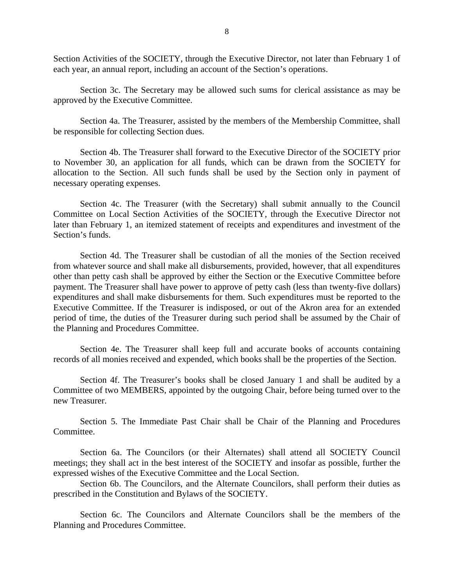Section Activities of the SOCIETY, through the Executive Director, not later than February 1 of each year, an annual report, including an account of the Section's operations.

Section 3c. The Secretary may be allowed such sums for clerical assistance as may be approved by the Executive Committee.

Section 4a. The Treasurer, assisted by the members of the Membership Committee, shall be responsible for collecting Section dues.

Section 4b. The Treasurer shall forward to the Executive Director of the SOCIETY prior to November 30, an application for all funds, which can be drawn from the SOCIETY for allocation to the Section. All such funds shall be used by the Section only in payment of necessary operating expenses.

Section 4c. The Treasurer (with the Secretary) shall submit annually to the Council Committee on Local Section Activities of the SOCIETY, through the Executive Director not later than February 1, an itemized statement of receipts and expenditures and investment of the Section's funds.

Section 4d. The Treasurer shall be custodian of all the monies of the Section received from whatever source and shall make all disbursements, provided, however, that all expenditures other than petty cash shall be approved by either the Section or the Executive Committee before payment. The Treasurer shall have power to approve of petty cash (less than twenty-five dollars) expenditures and shall make disbursements for them. Such expenditures must be reported to the Executive Committee. If the Treasurer is indisposed, or out of the Akron area for an extended period of time, the duties of the Treasurer during such period shall be assumed by the Chair of the Planning and Procedures Committee.

Section 4e. The Treasurer shall keep full and accurate books of accounts containing records of all monies received and expended, which books shall be the properties of the Section.

Section 4f. The Treasurer's books shall be closed January 1 and shall be audited by a Committee of two MEMBERS, appointed by the outgoing Chair, before being turned over to the new Treasurer.

 Section 5. The Immediate Past Chair shall be Chair of the Planning and Procedures Committee.

Section 6a. The Councilors (or their Alternates) shall attend all SOCIETY Council meetings; they shall act in the best interest of the SOCIETY and insofar as possible, further the expressed wishes of the Executive Committee and the Local Section.

Section 6b. The Councilors, and the Alternate Councilors, shall perform their duties as prescribed in the Constitution and Bylaws of the SOCIETY.

Section 6c. The Councilors and Alternate Councilors shall be the members of the Planning and Procedures Committee.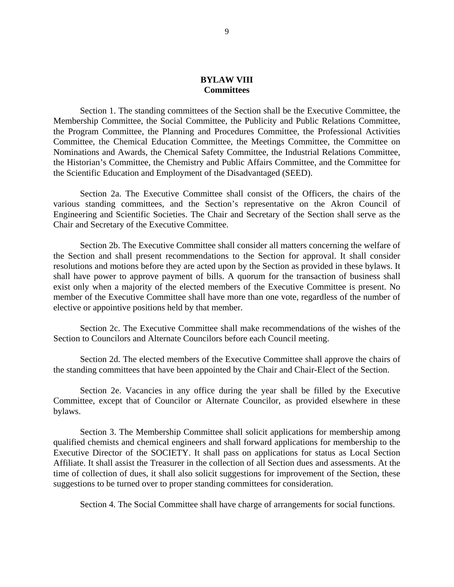### **BYLAW VIII Committees**

Section 1. The standing committees of the Section shall be the Executive Committee, the Membership Committee, the Social Committee, the Publicity and Public Relations Committee, the Program Committee, the Planning and Procedures Committee, the Professional Activities Committee, the Chemical Education Committee, the Meetings Committee, the Committee on Nominations and Awards, the Chemical Safety Committee, the Industrial Relations Committee, the Historian's Committee, the Chemistry and Public Affairs Committee, and the Committee for the Scientific Education and Employment of the Disadvantaged (SEED).

Section 2a. The Executive Committee shall consist of the Officers, the chairs of the various standing committees, and the Section's representative on the Akron Council of Engineering and Scientific Societies. The Chair and Secretary of the Section shall serve as the Chair and Secretary of the Executive Committee.

Section 2b. The Executive Committee shall consider all matters concerning the welfare of the Section and shall present recommendations to the Section for approval. It shall consider resolutions and motions before they are acted upon by the Section as provided in these bylaws. It shall have power to approve payment of bills. A quorum for the transaction of business shall exist only when a majority of the elected members of the Executive Committee is present. No member of the Executive Committee shall have more than one vote, regardless of the number of elective or appointive positions held by that member.

Section 2c. The Executive Committee shall make recommendations of the wishes of the Section to Councilors and Alternate Councilors before each Council meeting.

Section 2d. The elected members of the Executive Committee shall approve the chairs of the standing committees that have been appointed by the Chair and Chair-Elect of the Section.

Section 2e. Vacancies in any office during the year shall be filled by the Executive Committee, except that of Councilor or Alternate Councilor, as provided elsewhere in these bylaws.

Section 3. The Membership Committee shall solicit applications for membership among qualified chemists and chemical engineers and shall forward applications for membership to the Executive Director of the SOCIETY. It shall pass on applications for status as Local Section Affiliate. It shall assist the Treasurer in the collection of all Section dues and assessments. At the time of collection of dues, it shall also solicit suggestions for improvement of the Section, these suggestions to be turned over to proper standing committees for consideration.

Section 4. The Social Committee shall have charge of arrangements for social functions.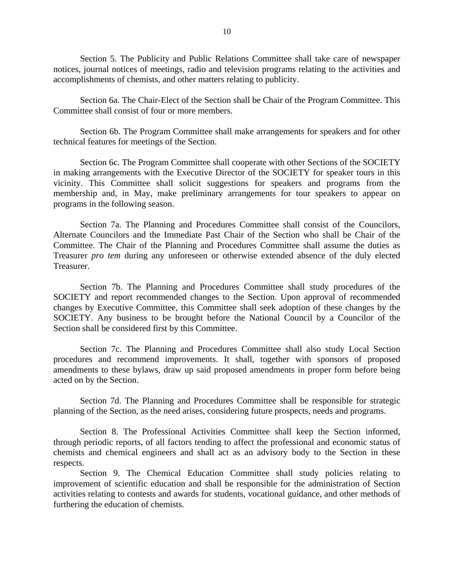Section 5. The Publicity and Public Relations Committee shall take care of newspaper notices, journal notices of meetings, radio and television programs relating to the activities and accomplishments of chemists, and other matters relating to publicity.

Section 6a. The Chair-Elect of the Section shall be Chair of the Program Committee. This Committee shall consist of four or more members.

Section 6b. The Program Committee shall make arrangements for speakers and for other technical features for meetings of the Section.

Section 6c. The Program Committee shall cooperate with other Sections of the SOCIETY in making arrangements with the Executive Director of the SOCIETY for speaker tours in this vicinity. This Committee shall solicit suggestions for speakers and programs from the membership and, in May, make preliminary arrangements for tour speakers to appear on programs in the following season.

Section 7a. The Planning and Procedures Committee shall consist of the Councilors, Alternate Councilors and the Immediate Past Chair of the Section who shall be Chair of the Committee. The Chair of the Planning and Procedures Committee shall assume the duties as Treasurer *pro tem* during any unforeseen or otherwise extended absence of the duly elected Treasurer.

Section 7b. The Planning and Procedures Committee shall study procedures of the SOCIETY and report recommended changes to the Section. Upon approval of recommended changes by Executive Committee, this Committee shall seek adoption of these changes by the SOCIETY. Any business to be brought before the National Council by a Councilor of the Section shall be considered first by this Committee.

Section 7c. The Planning and Procedures Committee shall also study Local Section procedures and recommend improvements. It shall, together with sponsors of proposed amendments to these bylaws, draw up said proposed amendments in proper form before being acted on by the Section.

 Section 7d. The Planning and Procedures Committee shall be responsible for strategic planning of the Section, as the need arises, considering future prospects, needs and programs.

Section 8. The Professional Activities Committee shall keep the Section informed, through periodic reports, of all factors tending to affect the professional and economic status of chemists and chemical engineers and shall act as an advisory body to the Section in these respects.

Section 9. The Chemical Education Committee shall study policies relating to improvement of scientific education and shall be responsible for the administration of Section activities relating to contests and awards for students, vocational guidance, and other methods of furthering the education of chemists.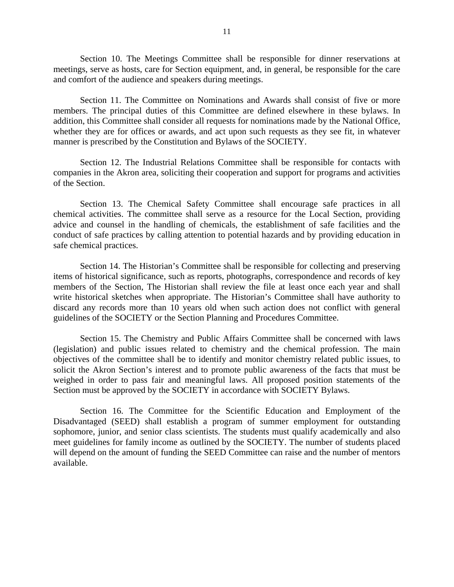Section 10. The Meetings Committee shall be responsible for dinner reservations at meetings, serve as hosts, care for Section equipment, and, in general, be responsible for the care and comfort of the audience and speakers during meetings.

Section 11. The Committee on Nominations and Awards shall consist of five or more members. The principal duties of this Committee are defined elsewhere in these bylaws. In addition, this Committee shall consider all requests for nominations made by the National Office, whether they are for offices or awards, and act upon such requests as they see fit, in whatever manner is prescribed by the Constitution and Bylaws of the SOCIETY.

 Section 12. The Industrial Relations Committee shall be responsible for contacts with companies in the Akron area, soliciting their cooperation and support for programs and activities of the Section.

 Section 13. The Chemical Safety Committee shall encourage safe practices in all chemical activities. The committee shall serve as a resource for the Local Section, providing advice and counsel in the handling of chemicals, the establishment of safe facilities and the conduct of safe practices by calling attention to potential hazards and by providing education in safe chemical practices.

 Section 14. The Historian's Committee shall be responsible for collecting and preserving items of historical significance, such as reports, photographs, correspondence and records of key members of the Section, The Historian shall review the file at least once each year and shall write historical sketches when appropriate. The Historian's Committee shall have authority to discard any records more than 10 years old when such action does not conflict with general guidelines of the SOCIETY or the Section Planning and Procedures Committee.

Section 15. The Chemistry and Public Affairs Committee shall be concerned with laws (legislation) and public issues related to chemistry and the chemical profession. The main objectives of the committee shall be to identify and monitor chemistry related public issues, to solicit the Akron Section's interest and to promote public awareness of the facts that must be weighed in order to pass fair and meaningful laws. All proposed position statements of the Section must be approved by the SOCIETY in accordance with SOCIETY Bylaws.

Section 16. The Committee for the Scientific Education and Employment of the Disadvantaged (SEED) shall establish a program of summer employment for outstanding sophomore, junior, and senior class scientists. The students must qualify academically and also meet guidelines for family income as outlined by the SOCIETY. The number of students placed will depend on the amount of funding the SEED Committee can raise and the number of mentors available.